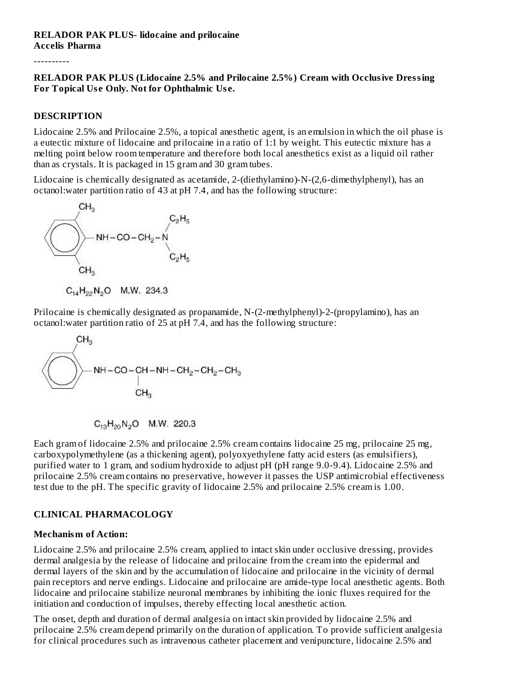#### **RELADOR PAK PLUS- lidocaine and prilocaine Accelis Pharma**

----------

#### **RELADOR PAK PLUS (Lidocaine 2.5% and Prilocaine 2.5%) Cream with Occlusive Dressing For Topical Us e Only. Not for Ophthalmic Us e.**

#### **DESCRIPTION**

Lidocaine 2.5% and Prilocaine 2.5%, a topical anesthetic agent, is an emulsion in which the oil phase is a eutectic mixture of lidocaine and prilocaine in a ratio of 1:1 by weight. This eutectic mixture has a melting point below room temperature and therefore both local anesthetics exist as a liquid oil rather than as crystals. It is packaged in 15 gram and 30 gram tubes.

Lidocaine is chemically designated as acetamide, 2-(diethylamino)-N-(2,6-dimethylphenyl), has an octanol:water partition ratio of 43 at pH 7.4, and has the following structure:



 $C_{14}H_{22}N_2O$  M.W. 234.3

Prilocaine is chemically designated as propanamide, N-(2-methylphenyl)-2-(propylamino), has an octanol:water partition ratio of 25 at pH 7.4, and has the following structure:

$$
C_{13}H_{20}N_2O
$$
 M.W. 220.3

Each gram of lidocaine 2.5% and prilocaine 2.5% cream contains lidocaine 25 mg, prilocaine 25 mg, carboxypolymethylene (as a thickening agent), polyoxyethylene fatty acid esters (as emulsifiers), purified water to 1 gram, and sodium hydroxide to adjust pH (pH range 9.0-9.4). Lidocaine 2.5% and prilocaine 2.5% cream contains no preservative, however it passes the USP antimicrobial effectiveness test due to the pH. The specific gravity of lidocaine 2.5% and prilocaine 2.5% cream is 1.00.

### **CLINICAL PHARMACOLOGY**

#### **Mechanism of Action:**

Lidocaine 2.5% and prilocaine 2.5% cream, applied to intact skin under occlusive dressing, provides dermal analgesia by the release of lidocaine and prilocaine from the cream into the epidermal and dermal layers of the skin and by the accumulation of lidocaine and prilocaine in the vicinity of dermal pain receptors and nerve endings. Lidocaine and prilocaine are amide-type local anesthetic agents. Both lidocaine and prilocaine stabilize neuronal membranes by inhibiting the ionic fluxes required for the initiation and conduction of impulses, thereby effecting local anesthetic action.

The onset, depth and duration of dermal analgesia on intact skin provided by lidocaine 2.5% and prilocaine 2.5% cream depend primarily on the duration of application. To provide sufficient analgesia for clinical procedures such as intravenous catheter placement and venipuncture, lidocaine 2.5% and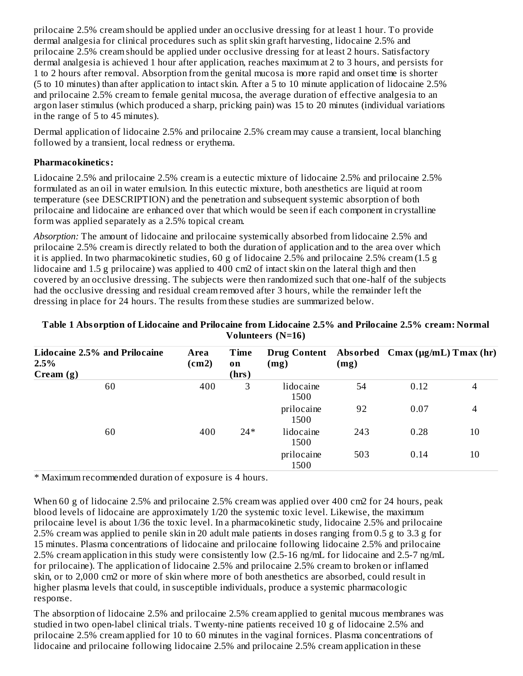prilocaine 2.5% cream should be applied under an occlusive dressing for at least 1 hour. To provide dermal analgesia for clinical procedures such as split skin graft harvesting, lidocaine 2.5% and prilocaine 2.5% cream should be applied under occlusive dressing for at least 2 hours. Satisfactory dermal analgesia is achieved 1 hour after application, reaches maximum at 2 to 3 hours, and persists for 1 to 2 hours after removal. Absorption from the genital mucosa is more rapid and onset time is shorter (5 to 10 minutes) than after application to intact skin. After a 5 to 10 minute application of lidocaine 2.5% and prilocaine 2.5% cream to female genital mucosa, the average duration of effective analgesia to an argon laser stimulus (which produced a sharp, pricking pain) was 15 to 20 minutes (individual variations in the range of 5 to 45 minutes).

Dermal application of lidocaine 2.5% and prilocaine 2.5% cream may cause a transient, local blanching followed by a transient, local redness or erythema.

### **Pharmacokinetics:**

Lidocaine 2.5% and prilocaine 2.5% cream is a eutectic mixture of lidocaine 2.5% and prilocaine 2.5% formulated as an oil in water emulsion. In this eutectic mixture, both anesthetics are liquid at room temperature (see DESCRIPTION) and the penetration and subsequent systemic absorption of both prilocaine and lidocaine are enhanced over that which would be seen if each component in crystalline form was applied separately as a 2.5% topical cream.

*Absorption:* The amount of lidocaine and prilocaine systemically absorbed from lidocaine 2.5% and prilocaine 2.5% cream is directly related to both the duration of application and to the area over which it is applied. In two pharmacokinetic studies, 60 g of lidocaine 2.5% and prilocaine 2.5% cream (1.5 g lidocaine and 1.5 g prilocaine) was applied to 400 cm2 of intact skin on the lateral thigh and then covered by an occlusive dressing. The subjects were then randomized such that one-half of the subjects had the occlusive dressing and residual cream removed after 3 hours, while the remainder left the dressing in place for 24 hours. The results from these studies are summarized below.

| Lidocaine 2.5% and Prilocaine<br>2.5%<br>Cream (g) | Area<br>(cm2) | Time<br><b>on</b><br>(hrs) | (mg)               | (mg) | Drug Content Absorbed Cmax (µg/mL) Tmax (hr) |    |
|----------------------------------------------------|---------------|----------------------------|--------------------|------|----------------------------------------------|----|
| 60                                                 | 400           | 3                          | lidocaine<br>1500  | 54   | 0.12                                         | 4  |
|                                                    |               |                            | prilocaine<br>1500 | 92   | 0.07                                         | 4  |
| 60                                                 | 400           | $24*$                      | lidocaine<br>1500  | 243  | 0.28                                         | 10 |
|                                                    |               |                            | prilocaine<br>1500 | 503  | 0.14                                         | 10 |

#### **Table 1 Absorption of Lidocaine and Prilocaine from Lidocaine 2.5% and Prilocaine 2.5% cream: Normal Volunteers (N=16)**

\* Maximum recommended duration of exposure is 4 hours.

When 60 g of lidocaine 2.5% and prilocaine 2.5% cream was applied over 400 cm2 for 24 hours, peak blood levels of lidocaine are approximately 1/20 the systemic toxic level. Likewise, the maximum prilocaine level is about 1/36 the toxic level. In a pharmacokinetic study, lidocaine 2.5% and prilocaine 2.5% cream was applied to penile skin in 20 adult male patients in doses ranging from 0.5 g to 3.3 g for 15 minutes. Plasma concentrations of lidocaine and prilocaine following lidocaine 2.5% and prilocaine 2.5% cream application in this study were consistently low (2.5-16 ng/mL for lidocaine and 2.5-7 ng/mL for prilocaine). The application of lidocaine 2.5% and prilocaine 2.5% cream to broken or inflamed skin, or to 2,000 cm2 or more of skin where more of both anesthetics are absorbed, could result in higher plasma levels that could, in susceptible individuals, produce a systemic pharmacologic response.

The absorption of lidocaine 2.5% and prilocaine 2.5% cream applied to genital mucous membranes was studied in two open-label clinical trials. Twenty-nine patients received 10 g of lidocaine 2.5% and prilocaine 2.5% cream applied for 10 to 60 minutes in the vaginal fornices. Plasma concentrations of lidocaine and prilocaine following lidocaine 2.5% and prilocaine 2.5% cream application in these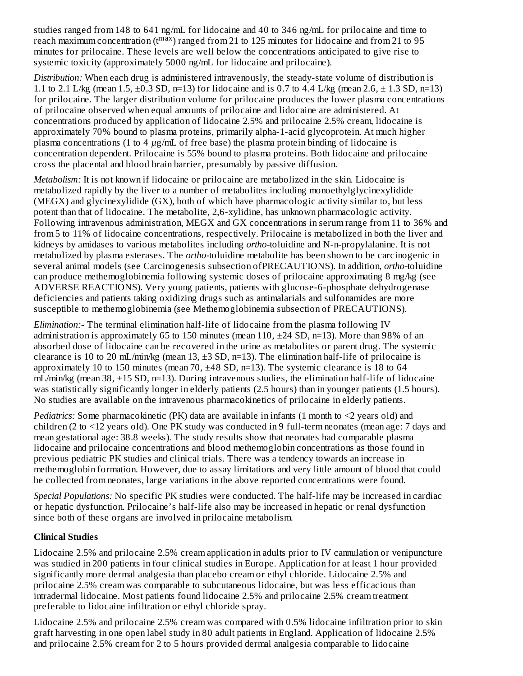studies ranged from 148 to 641 ng/mL for lidocaine and 40 to 346 ng/mL for prilocaine and time to reach maximum concentration (t<sup>max</sup>) ranged from 21 to 125 minutes for lidocaine and from 21 to 95 minutes for prilocaine. These levels are well below the concentrations anticipated to give rise to systemic toxicity (approximately 5000 ng/mL for lidocaine and prilocaine).

*Distribution:* When each drug is administered intravenously, the steady-state volume of distribution is 1.1 to 2.1 L/kg (mean 1.5,  $\pm$ 0.3 SD, n=13) for lidocaine and is 0.7 to 4.4 L/kg (mean 2.6,  $\pm$  1.3 SD, n=13) for prilocaine. The larger distribution volume for prilocaine produces the lower plasma concentrations of prilocaine observed when equal amounts of prilocaine and lidocaine are administered. At concentrations produced by application of lidocaine 2.5% and prilocaine 2.5% cream, lidocaine is approximately 70% bound to plasma proteins, primarily alpha-1-acid glycoprotein. At much higher plasma concentrations (1 to 4 *µ*g/mL of free base) the plasma protein binding of lidocaine is concentration dependent. Prilocaine is 55% bound to plasma proteins. Both lidocaine and prilocaine cross the placental and blood brain barrier, presumably by passive diffusion.

*Metabolism:* It is not known if lidocaine or prilocaine are metabolized in the skin. Lidocaine is metabolized rapidly by the liver to a number of metabolites including monoethylglycinexylidide (MEGX) and glycinexylidide (GX), both of which have pharmacologic activity similar to, but less potent than that of lidocaine. The metabolite, 2,6-xylidine, has unknown pharmacologic activity. Following intravenous administration, MEGX and GX concentrations in serum range from 11 to 36% and from 5 to 11% of lidocaine concentrations, respectively. Prilocaine is metabolized in both the liver and kidneys by amidases to various metabolites including *ortho-*toluidine and N-n-propylalanine. It is not metabolized by plasma esterases. The *ortho-*toluidine metabolite has been shown to be carcinogenic in several animal models (see Carcinogenesis subsection ofPRECAUTIONS). In addition, *ortho-*toluidine can produce methemoglobinemia following systemic doses of prilocaine approximating 8 mg/kg (see ADVERSE REACTIONS). Very young patients, patients with glucose-6-phosphate dehydrogenase deficiencies and patients taking oxidizing drugs such as antimalarials and sulfonamides are more susceptible to methemoglobinemia (see Methemoglobinemia subsection of PRECAUTIONS).

*Elimination:*- The terminal elimination half-life of lidocaine from the plasma following IV administration is approximately 65 to 150 minutes (mean 110,  $\pm$ 24 SD, n=13). More than 98% of an absorbed dose of lidocaine can be recovered in the urine as metabolites or parent drug. The systemic clearance is 10 to 20 mL/min/kg (mean 13, ±3 SD, n=13). The elimination half-life of prilocaine is approximately 10 to 150 minutes (mean 70,  $\pm 48$  SD, n=13). The systemic clearance is 18 to 64 mL/min/kg (mean 38, ±15 SD, n=13). During intravenous studies, the elimination half-life of lidocaine was statistically significantly longer in elderly patients (2.5 hours) than in younger patients (1.5 hours). No studies are available on the intravenous pharmacokinetics of prilocaine in elderly patients.

*Pediatrics:* Some pharmacokinetic (PK) data are available in infants (1 month to <2 years old) and children (2 to <12 years old). One PK study was conducted in 9 full-term neonates (mean age: 7 days and mean gestational age: 38.8 weeks). The study results show that neonates had comparable plasma lidocaine and prilocaine concentrations and blood methemoglobin concentrations as those found in previous pediatric PK studies and clinical trials. There was a tendency towards an increase in methemoglobin formation. However, due to assay limitations and very little amount of blood that could be collected from neonates, large variations in the above reported concentrations were found.

*Special Populations:* No specific PK studies were conducted. The half-life may be increased in cardiac or hepatic dysfunction. Prilocaine's half-life also may be increased in hepatic or renal dysfunction since both of these organs are involved in prilocaine metabolism.

### **Clinical Studies**

Lidocaine 2.5% and prilocaine 2.5% cream application in adults prior to IV cannulation or venipuncture was studied in 200 patients in four clinical studies in Europe. Application for at least 1 hour provided significantly more dermal analgesia than placebo cream or ethyl chloride. Lidocaine 2.5% and prilocaine 2.5% cream was comparable to subcutaneous lidocaine, but was less efficacious than intradermal lidocaine. Most patients found lidocaine 2.5% and prilocaine 2.5% cream treatment preferable to lidocaine infiltration or ethyl chloride spray.

Lidocaine 2.5% and prilocaine 2.5% cream was compared with 0.5% lidocaine infiltration prior to skin graft harvesting in one open label study in 80 adult patients in England. Application of lidocaine 2.5% and prilocaine 2.5% cream for 2 to 5 hours provided dermal analgesia comparable to lidocaine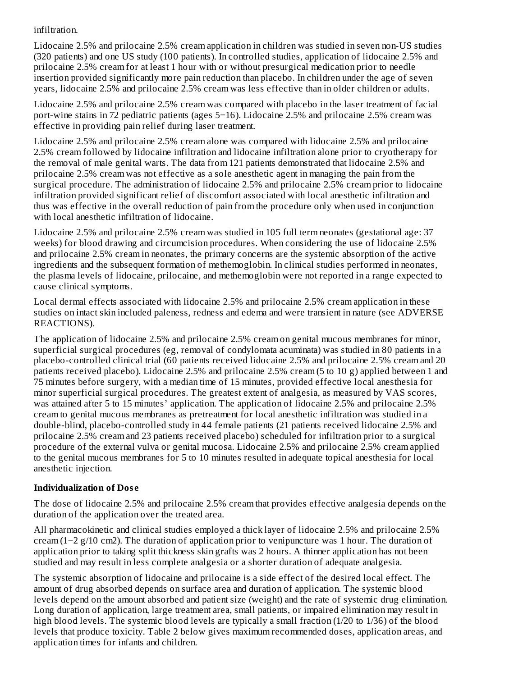### infiltration.

Lidocaine 2.5% and prilocaine 2.5% cream application in children was studied in seven non-US studies (320 patients) and one US study (100 patients). In controlled studies, application of lidocaine 2.5% and prilocaine 2.5% cream for at least 1 hour with or without presurgical medication prior to needle insertion provided significantly more pain reduction than placebo. In children under the age of seven years, lidocaine 2.5% and prilocaine 2.5% cream was less effective than in older children or adults.

Lidocaine 2.5% and prilocaine 2.5% cream was compared with placebo in the laser treatment of facial port-wine stains in 72 pediatric patients (ages 5−16). Lidocaine 2.5% and prilocaine 2.5% cream was effective in providing pain relief during laser treatment.

Lidocaine 2.5% and prilocaine 2.5% cream alone was compared with lidocaine 2.5% and prilocaine 2.5% cream followed by lidocaine infiltration and lidocaine infiltration alone prior to cryotherapy for the removal of male genital warts. The data from 121 patients demonstrated that lidocaine 2.5% and prilocaine 2.5% cream was not effective as a sole anesthetic agent in managing the pain from the surgical procedure. The administration of lidocaine 2.5% and prilocaine 2.5% cream prior to lidocaine infiltration provided significant relief of discomfort associated with local anesthetic infiltration and thus was effective in the overall reduction of pain from the procedure only when used in conjunction with local anesthetic infiltration of lidocaine.

Lidocaine 2.5% and prilocaine 2.5% cream was studied in 105 full term neonates (gestational age: 37 weeks) for blood drawing and circumcision procedures. When considering the use of lidocaine 2.5% and prilocaine 2.5% cream in neonates, the primary concerns are the systemic absorption of the active ingredients and the subsequent formation of methemoglobin. In clinical studies performed in neonates, the plasma levels of lidocaine, prilocaine, and methemoglobin were not reported in a range expected to cause clinical symptoms.

Local dermal effects associated with lidocaine 2.5% and prilocaine 2.5% cream application in these studies on intact skin included paleness, redness and edema and were transient in nature (see ADVERSE REACTIONS).

The application of lidocaine 2.5% and prilocaine 2.5% cream on genital mucous membranes for minor, superficial surgical procedures (eg, removal of condylomata acuminata) was studied in 80 patients in a placebo-controlled clinical trial (60 patients received lidocaine 2.5% and prilocaine 2.5% cream and 20 patients received placebo). Lidocaine 2.5% and prilocaine 2.5% cream (5 to 10 g) applied between 1 and 75 minutes before surgery, with a median time of 15 minutes, provided effective local anesthesia for minor superficial surgical procedures. The greatest extent of analgesia, as measured by VAS scores, was attained after 5 to 15 minutes' application. The application of lidocaine 2.5% and prilocaine 2.5% cream to genital mucous membranes as pretreatment for local anesthetic infiltration was studied in a double-blind, placebo-controlled study in 44 female patients (21 patients received lidocaine 2.5% and prilocaine 2.5% cream and 23 patients received placebo) scheduled for infiltration prior to a surgical procedure of the external vulva or genital mucosa. Lidocaine 2.5% and prilocaine 2.5% cream applied to the genital mucous membranes for 5 to 10 minutes resulted in adequate topical anesthesia for local anesthetic injection.

### **Individualization of Dos e**

The dose of lidocaine 2.5% and prilocaine 2.5% cream that provides effective analgesia depends on the duration of the application over the treated area.

All pharmacokinetic and clinical studies employed a thick layer of lidocaine 2.5% and prilocaine 2.5% cream (1−2 g/10 cm2). The duration of application prior to venipuncture was 1 hour. The duration of application prior to taking split thickness skin grafts was 2 hours. A thinner application has not been studied and may result in less complete analgesia or a shorter duration of adequate analgesia.

The systemic absorption of lidocaine and prilocaine is a side effect of the desired local effect. The amount of drug absorbed depends on surface area and duration of application. The systemic blood levels depend on the amount absorbed and patient size (weight) and the rate of systemic drug elimination. Long duration of application, large treatment area, small patients, or impaired elimination may result in high blood levels. The systemic blood levels are typically a small fraction (1/20 to 1/36) of the blood levels that produce toxicity. Table 2 below gives maximum recommended doses, application areas, and application times for infants and children.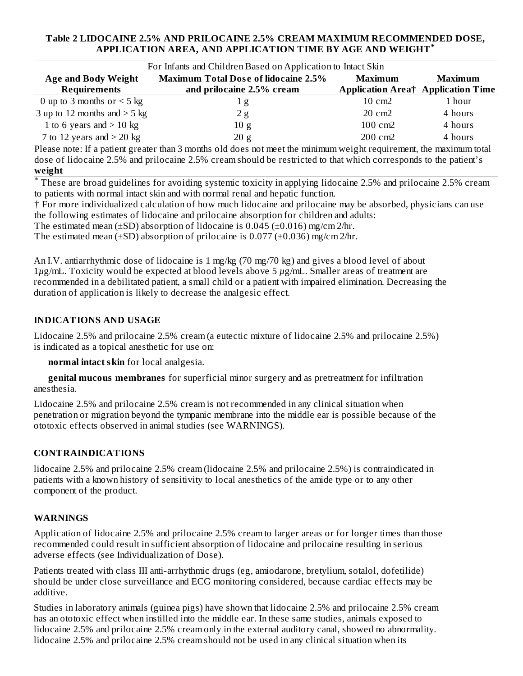### **Table 2 LIDOCAINE 2.5% AND PRILOCAINE 2.5% CREAM MAXIMUM RECOMMENDED DOSE, APPLICATION AREA, AND APPLICATION TIME BY AGE AND WEIGHT \***

| For Infants and Children Based on Application to Intact Skin                                                                     |                                             |                                           |         |  |
|----------------------------------------------------------------------------------------------------------------------------------|---------------------------------------------|-------------------------------------------|---------|--|
| <b>Age and Body Weight</b>                                                                                                       | <b>Maximum Total Dose of lidocaine 2.5%</b> | Maximum                                   | Maximum |  |
| <b>Requirements</b>                                                                                                              | and prilocaine 2.5% cream                   | <b>Application Area† Application Time</b> |         |  |
| 0 up to 3 months or $<$ 5 kg                                                                                                     | 1 g                                         | $10 \text{ cm}$                           | 1 hour  |  |
| 3 up to 12 months and $>$ 5 kg                                                                                                   | 2 g                                         | 20 cm2                                    | 4 hours |  |
| 1 to 6 years and $>$ 10 kg                                                                                                       | 10 g                                        | $100 \text{ cm}$                          | 4 hours |  |
| 7 to 12 years and $>$ 20 kg                                                                                                      | 20 g                                        | $200 \text{ cm}$                          | 4 hours |  |
| $\mathsf{P}}$ please note: If a patient greater than 3 months old does not meet the minimum weight requirement the maximum total |                                             |                                           |         |  |

ase note: If a patient greater than 3 months old does not meet the minimum weight requirement, the maximum total dose of lidocaine 2.5% and prilocaine 2.5% cream should be restricted to that which corresponds to the patient's **weight**

These are broad guidelines for avoiding systemic toxicity in applying lidocaine 2.5% and prilocaine 2.5% cream \*to patients with normal intact skin and with normal renal and hepatic function.

† For more individualized calculation of how much lidocaine and prilocaine may be absorbed, physicians can use the following estimates of lidocaine and prilocaine absorption for children and adults:

The estimated mean ( $\pm$ SD) absorption of lidocaine is 0.045 ( $\pm$ 0.016) mg/cm 2/hr.

The estimated mean ( $\pm$ SD) absorption of prilocaine is 0.077 ( $\pm$ 0.036) mg/cm 2/hr.

An I.V. antiarrhythmic dose of lidocaine is 1 mg/kg (70 mg/70 kg) and gives a blood level of about 1*µ*g/mL. Toxicity would be expected at blood levels above 5 *µ*g/mL. Smaller areas of treatment are recommended in a debilitated patient, a small child or a patient with impaired elimination. Decreasing the duration of application is likely to decrease the analgesic effect.

### **INDICATIONS AND USAGE**

Lidocaine 2.5% and prilocaine 2.5% cream (a eutectic mixture of lidocaine 2.5% and prilocaine 2.5%) is indicated as a topical anesthetic for use on:

**normal intact skin** for local analgesia.

**genital mucous membranes** for superficial minor surgery and as pretreatment for infiltration anesthesia.

Lidocaine 2.5% and prilocaine 2.5% cream is not recommended in any clinical situation when penetration or migration beyond the tympanic membrane into the middle ear is possible because of the ototoxic effects observed in animal studies (see WARNINGS).

### **CONTRAINDICATIONS**

lidocaine 2.5% and prilocaine 2.5% cream (lidocaine 2.5% and prilocaine 2.5%) is contraindicated in patients with a known history of sensitivity to local anesthetics of the amide type or to any other component of the product.

#### **WARNINGS**

Application of lidocaine 2.5% and prilocaine 2.5% cream to larger areas or for longer times than those recommended could result in sufficient absorption of lidocaine and prilocaine resulting in serious adverse effects (see Individualization of Dose).

Patients treated with class III anti-arrhythmic drugs (eg, amiodarone, bretylium, sotalol, dofetilide) should be under close surveillance and ECG monitoring considered, because cardiac effects may be additive.

Studies in laboratory animals (guinea pigs) have shown that lidocaine 2.5% and prilocaine 2.5% cream has an ototoxic effect when instilled into the middle ear. In these same studies, animals exposed to lidocaine 2.5% and prilocaine 2.5% cream only in the external auditory canal, showed no abnormality. lidocaine 2.5% and prilocaine 2.5% cream should not be used in any clinical situation when its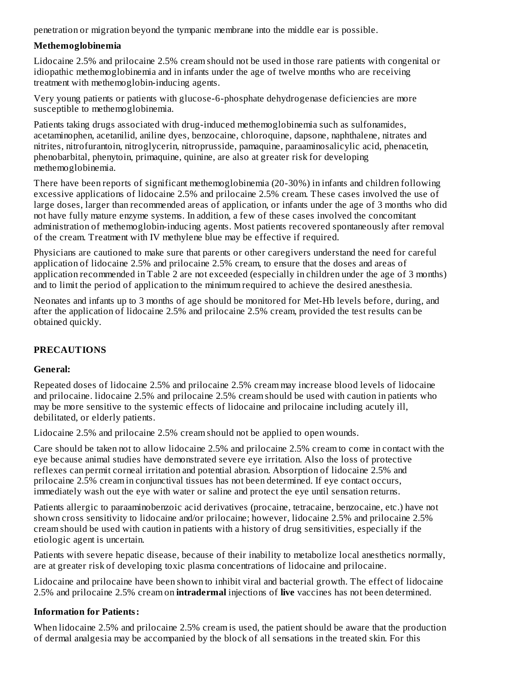penetration or migration beyond the tympanic membrane into the middle ear is possible.

### **Methemoglobinemia**

Lidocaine 2.5% and prilocaine 2.5% cream should not be used in those rare patients with congenital or idiopathic methemoglobinemia and in infants under the age of twelve months who are receiving treatment with methemoglobin-inducing agents.

Very young patients or patients with glucose-6-phosphate dehydrogenase deficiencies are more susceptible to methemoglobinemia.

Patients taking drugs associated with drug-induced methemoglobinemia such as sulfonamides, acetaminophen, acetanilid, aniline dyes, benzocaine, chloroquine, dapsone, naphthalene, nitrates and nitrites, nitrofurantoin, nitroglycerin, nitroprusside, pamaquine, paraaminosalicylic acid, phenacetin, phenobarbital, phenytoin, primaquine, quinine, are also at greater risk for developing methemoglobinemia.

There have been reports of significant methemoglobinemia (20-30%) in infants and children following excessive applications of lidocaine 2.5% and prilocaine 2.5% cream. These cases involved the use of large doses, larger than recommended areas of application, or infants under the age of 3 months who did not have fully mature enzyme systems. In addition, a few of these cases involved the concomitant administration of methemoglobin-inducing agents. Most patients recovered spontaneously after removal of the cream. Treatment with IV methylene blue may be effective if required.

Physicians are cautioned to make sure that parents or other caregivers understand the need for careful application of lidocaine 2.5% and prilocaine 2.5% cream, to ensure that the doses and areas of application recommended in Table 2 are not exceeded (especially in children under the age of 3 months) and to limit the period of application to the minimum required to achieve the desired anesthesia.

Neonates and infants up to 3 months of age should be monitored for Met-Hb levels before, during, and after the application of lidocaine 2.5% and prilocaine 2.5% cream, provided the test results can be obtained quickly.

# **PRECAUTIONS**

# **General:**

Repeated doses of lidocaine 2.5% and prilocaine 2.5% cream may increase blood levels of lidocaine and prilocaine. lidocaine 2.5% and prilocaine 2.5% cream should be used with caution in patients who may be more sensitive to the systemic effects of lidocaine and prilocaine including acutely ill, debilitated, or elderly patients.

Lidocaine 2.5% and prilocaine 2.5% cream should not be applied to open wounds.

Care should be taken not to allow lidocaine 2.5% and prilocaine 2.5% cream to come in contact with the eye because animal studies have demonstrated severe eye irritation. Also the loss of protective reflexes can permit corneal irritation and potential abrasion. Absorption of lidocaine 2.5% and prilocaine 2.5% cream in conjunctival tissues has not been determined. If eye contact occurs, immediately wash out the eye with water or saline and protect the eye until sensation returns.

Patients allergic to paraaminobenzoic acid derivatives (procaine, tetracaine, benzocaine, etc.) have not shown cross sensitivity to lidocaine and/or prilocaine; however, lidocaine 2.5% and prilocaine 2.5% cream should be used with caution in patients with a history of drug sensitivities, especially if the etiologic agent is uncertain.

Patients with severe hepatic disease, because of their inability to metabolize local anesthetics normally, are at greater risk of developing toxic plasma concentrations of lidocaine and prilocaine.

Lidocaine and prilocaine have been shown to inhibit viral and bacterial growth. The effect of lidocaine 2.5% and prilocaine 2.5% cream on **intradermal** injections of **live** vaccines has not been determined.

# **Information for Patients:**

When lidocaine 2.5% and prilocaine 2.5% cream is used, the patient should be aware that the production of dermal analgesia may be accompanied by the block of all sensations in the treated skin. For this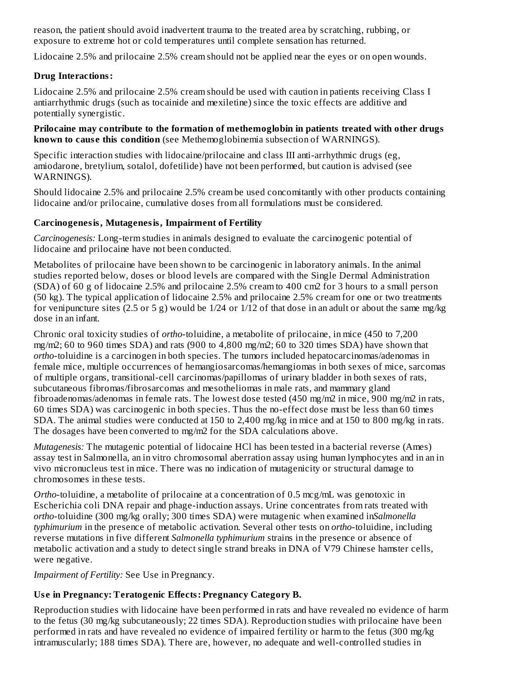reason, the patient should avoid inadvertent trauma to the treated area by scratching, rubbing, or exposure to extreme hot or cold temperatures until complete sensation has returned.

Lidocaine 2.5% and prilocaine 2.5% cream should not be applied near the eyes or on open wounds.

### **Drug Interactions:**

Lidocaine 2.5% and prilocaine 2.5% cream should be used with caution in patients receiving Class I antiarrhythmic drugs (such as tocainide and mexiletine) since the toxic effects are additive and potentially synergistic.

**Prilocaine may contribute to the formation of methemoglobin in patients treated with other drugs known to caus e this condition** (see Methemoglobinemia subsection of WARNINGS).

Specific interaction studies with lidocaine/prilocaine and class III anti-arrhythmic drugs (eg, amiodarone, bretylium, sotalol, dofetilide) have not been performed, but caution is advised (see WARNINGS).

Should lidocaine 2.5% and prilocaine 2.5% cream be used concomitantly with other products containing lidocaine and/or prilocaine, cumulative doses from all formulations must be considered.

### **Carcinogenesis, Mutagenesis, Impairment of Fertility**

*Carcinogenesis:* Long-term studies in animals designed to evaluate the carcinogenic potential of lidocaine and prilocaine have not been conducted.

Metabolites of prilocaine have been shown to be carcinogenic in laboratory animals. In the animal studies reported below, doses or blood levels are compared with the Single Dermal Administration (SDA) of 60 g of lidocaine 2.5% and prilocaine 2.5% cream to 400 cm2 for 3 hours to a small person (50 kg). The typical application of lidocaine 2.5% and prilocaine 2.5% cream for one or two treatments for venipuncture sites (2.5 or 5 g) would be  $1/24$  or  $1/12$  of that dose in an adult or about the same mg/kg dose in an infant.

Chronic oral toxicity studies of *ortho*-toluidine, a metabolite of prilocaine, in mice (450 to 7,200 mg/m2; 60 to 960 times SDA) and rats (900 to 4,800 mg/m2; 60 to 320 times SDA) have shown that *ortho*-toluidine is a carcinogen in both species. The tumors included hepatocarcinomas/adenomas in female mice, multiple occurrences of hemangiosarcomas/hemangiomas in both sexes of mice, sarcomas of multiple organs, transitional-cell carcinomas/papillomas of urinary bladder in both sexes of rats, subcutaneous fibromas/fibrosarcomas and mesotheliomas in male rats, and mammary gland fibroadenomas/adenomas in female rats. The lowest dose tested (450 mg/m2 in mice, 900 mg/m2 in rats, 60 times SDA) was carcinogenic in both species. Thus the no-effect dose must be less than 60 times SDA. The animal studies were conducted at 150 to 2,400 mg/kg in mice and at 150 to 800 mg/kg in rats. The dosages have been converted to mg/m2 for the SDA calculations above.

*Mutagenesis:* The mutagenic potential of lidocaine HCl has been tested in a bacterial reverse (Ames) assay test in Salmonella, an in vitro chromosomal aberration assay using human lymphocytes and in an in vivo micronucleus test in mice. There was no indication of mutagenicity or structural damage to chromosomes in these tests.

*Ortho*-toluidine, a metabolite of prilocaine at a concentration of 0.5 mcg/mL was genotoxic in Escherichia coli DNA repair and phage-induction assays. Urine concentrates from rats treated with *ortho*-toluidine (300 mg/kg orally; 300 times SDA) were mutagenic when examined in*Salmonella typhimurium* in the presence of metabolic activation. Several other tests on *ortho*-toluidine, including reverse mutations in five different *Salmonella typhimurium* strains in the presence or absence of metabolic activation and a study to detect single strand breaks in DNA of V79 Chinese hamster cells, were negative.

*Impairment of Fertility:* See Use in Pregnancy.

# **Us e in Pregnancy: Teratogenic Effects: Pregnancy Category B.**

Reproduction studies with lidocaine have been performed in rats and have revealed no evidence of harm to the fetus (30 mg/kg subcutaneously; 22 times SDA). Reproduction studies with prilocaine have been performed in rats and have revealed no evidence of impaired fertility or harm to the fetus (300 mg/kg intramuscularly; 188 times SDA). There are, however, no adequate and well-controlled studies in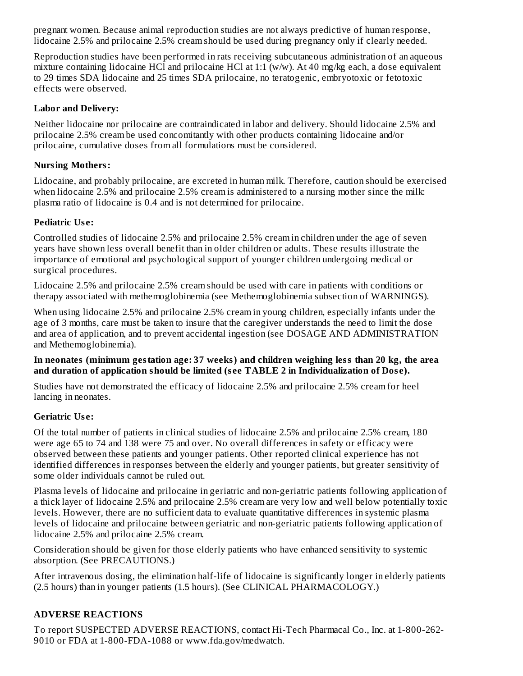pregnant women. Because animal reproduction studies are not always predictive of human response, lidocaine 2.5% and prilocaine 2.5% cream should be used during pregnancy only if clearly needed.

Reproduction studies have been performed in rats receiving subcutaneous administration of an aqueous mixture containing lidocaine HCl and prilocaine HCl at 1:1 (w/w). At 40 mg/kg each, a dose equivalent to 29 times SDA lidocaine and 25 times SDA prilocaine, no teratogenic, embryotoxic or fetotoxic effects were observed.

### **Labor and Delivery:**

Neither lidocaine nor prilocaine are contraindicated in labor and delivery. Should lidocaine 2.5% and prilocaine 2.5% cream be used concomitantly with other products containing lidocaine and/or prilocaine, cumulative doses from all formulations must be considered.

### **Nursing Mothers:**

Lidocaine, and probably prilocaine, are excreted in human milk. Therefore, caution should be exercised when lidocaine 2.5% and prilocaine 2.5% cream is administered to a nursing mother since the milk: plasma ratio of lidocaine is 0.4 and is not determined for prilocaine.

### **Pediatric Us e:**

Controlled studies of lidocaine 2.5% and prilocaine 2.5% cream in children under the age of seven years have shown less overall benefit than in older children or adults. These results illustrate the importance of emotional and psychological support of younger children undergoing medical or surgical procedures.

Lidocaine 2.5% and prilocaine 2.5% cream should be used with care in patients with conditions or therapy associated with methemoglobinemia (see Methemoglobinemia subsection of WARNINGS).

When using lidocaine 2.5% and prilocaine 2.5% cream in young children, especially infants under the age of 3 months, care must be taken to insure that the caregiver understands the need to limit the dose and area of application, and to prevent accidental ingestion (see DOSAGE AND ADMINISTRATION and Methemoglobinemia).

### **In neonates (minimum gestation age: 37 weeks) and children weighing less than 20 kg, the area and duration of application should be limited (s ee TABLE 2 in Individualization of Dos e).**

Studies have not demonstrated the efficacy of lidocaine 2.5% and prilocaine 2.5% cream for heel lancing in neonates.

# **Geriatric Us e:**

Of the total number of patients in clinical studies of lidocaine 2.5% and prilocaine 2.5% cream, 180 were age 65 to 74 and 138 were 75 and over. No overall differences in safety or efficacy were observed between these patients and younger patients. Other reported clinical experience has not identified differences in responses between the elderly and younger patients, but greater sensitivity of some older individuals cannot be ruled out.

Plasma levels of lidocaine and prilocaine in geriatric and non-geriatric patients following application of a thick layer of lidocaine 2.5% and prilocaine 2.5% cream are very low and well below potentially toxic levels. However, there are no sufficient data to evaluate quantitative differences in systemic plasma levels of lidocaine and prilocaine between geriatric and non-geriatric patients following application of lidocaine 2.5% and prilocaine 2.5% cream.

Consideration should be given for those elderly patients who have enhanced sensitivity to systemic absorption. (See PRECAUTIONS.)

After intravenous dosing, the elimination half-life of lidocaine is significantly longer in elderly patients (2.5 hours) than in younger patients (1.5 hours). (See CLINICAL PHARMACOLOGY.)

# **ADVERSE REACTIONS**

To report SUSPECTED ADVERSE REACTIONS, contact Hi-Tech Pharmacal Co., Inc. at 1-800-262- 9010 or FDA at 1-800-FDA-1088 or www.fda.gov/medwatch.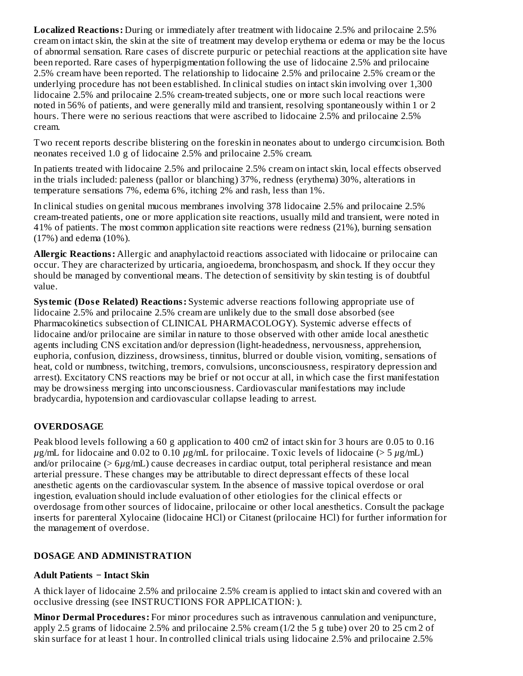**Localized Reactions:** During or immediately after treatment with lidocaine 2.5% and prilocaine 2.5% cream on intact skin, the skin at the site of treatment may develop erythema or edema or may be the locus of abnormal sensation. Rare cases of discrete purpuric or petechial reactions at the application site have been reported. Rare cases of hyperpigmentation following the use of lidocaine 2.5% and prilocaine 2.5% cream have been reported. The relationship to lidocaine 2.5% and prilocaine 2.5% cream or the underlying procedure has not been established. In clinical studies on intact skin involving over 1,300 lidocaine 2.5% and prilocaine 2.5% cream-treated subjects, one or more such local reactions were noted in 56% of patients, and were generally mild and transient, resolving spontaneously within 1 or 2 hours. There were no serious reactions that were ascribed to lidocaine 2.5% and prilocaine 2.5% cream.

Two recent reports describe blistering on the foreskin in neonates about to undergo circumcision. Both neonates received 1.0 g of lidocaine 2.5% and prilocaine 2.5% cream.

In patients treated with lidocaine 2.5% and prilocaine 2.5% cream on intact skin, local effects observed in the trials included: paleness (pallor or blanching) 37%, redness (erythema) 30%, alterations in temperature sensations 7%, edema 6%, itching 2% and rash, less than 1%.

In clinical studies on genital mucous membranes involving 378 lidocaine 2.5% and prilocaine 2.5% cream-treated patients, one or more application site reactions, usually mild and transient, were noted in 41% of patients. The most common application site reactions were redness (21%), burning sensation (17%) and edema (10%).

**Allergic Reactions:** Allergic and anaphylactoid reactions associated with lidocaine or prilocaine can occur. They are characterized by urticaria, angioedema, bronchospasm, and shock. If they occur they should be managed by conventional means. The detection of sensitivity by skin testing is of doubtful value.

**Systemic (Dos e Related) Reactions:** Systemic adverse reactions following appropriate use of lidocaine 2.5% and prilocaine 2.5% cream are unlikely due to the small dose absorbed (see Pharmacokinetics subsection of CLINICAL PHARMACOLOGY). Systemic adverse effects of lidocaine and/or prilocaine are similar in nature to those observed with other amide local anesthetic agents including CNS excitation and/or depression (light-headedness, nervousness, apprehension, euphoria, confusion, dizziness, drowsiness, tinnitus, blurred or double vision, vomiting, sensations of heat, cold or numbness, twitching, tremors, convulsions, unconsciousness, respiratory depression and arrest). Excitatory CNS reactions may be brief or not occur at all, in which case the first manifestation may be drowsiness merging into unconsciousness. Cardiovascular manifestations may include bradycardia, hypotension and cardiovascular collapse leading to arrest.

### **OVERDOSAGE**

Peak blood levels following a 60 g application to 400 cm2 of intact skin for 3 hours are 0.05 to 0.16 *µ*g/mL for lidocaine and 0.02 to 0.10 *µ*g/mL for prilocaine. Toxic levels of lidocaine (> 5 *µ*g/mL) and/or prilocaine (> 6*µ*g/mL) cause decreases in cardiac output, total peripheral resistance and mean arterial pressure. These changes may be attributable to direct depressant effects of these local anesthetic agents on the cardiovascular system. In the absence of massive topical overdose or oral ingestion, evaluation should include evaluation of other etiologies for the clinical effects or overdosage from other sources of lidocaine, prilocaine or other local anesthetics. Consult the package inserts for parenteral Xylocaine (lidocaine HCl) or Citanest (prilocaine HCl) for further information for the management of overdose.

### **DOSAGE AND ADMINISTRATION**

### **Adult Patients − Intact Skin**

A thick layer of lidocaine 2.5% and prilocaine 2.5% cream is applied to intact skin and covered with an occlusive dressing (see INSTRUCTIONS FOR APPLICATION: ).

**Minor Dermal Procedures:** For minor procedures such as intravenous cannulation and venipuncture, apply 2.5 grams of lidocaine 2.5% and prilocaine 2.5% cream (1/2 the 5 g tube) over 20 to 25 cm 2 of skin surface for at least 1 hour. In controlled clinical trials using lidocaine 2.5% and prilocaine 2.5%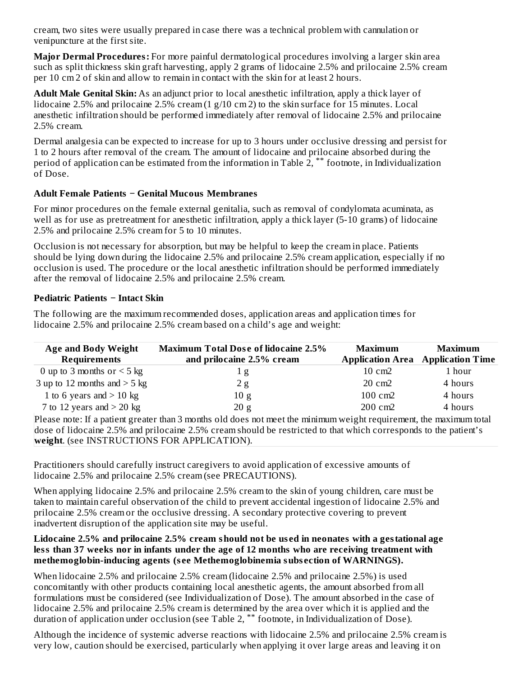cream, two sites were usually prepared in case there was a technical problem with cannulation or venipuncture at the first site.

**Major Dermal Procedures:** For more painful dermatological procedures involving a larger skin area such as split thickness skin graft harvesting, apply 2 grams of lidocaine 2.5% and prilocaine 2.5% cream per 10 cm 2 of skin and allow to remain in contact with the skin for at least 2 hours.

**Adult Male Genital Skin:** As an adjunct prior to local anesthetic infiltration, apply a thick layer of lidocaine 2.5% and prilocaine 2.5% cream (1 g/10 cm 2) to the skin surface for 15 minutes. Local anesthetic infiltration should be performed immediately after removal of lidocaine 2.5% and prilocaine 2.5% cream.

Dermal analgesia can be expected to increase for up to 3 hours under occlusive dressing and persist for 1 to 2 hours after removal of the cream. The amount of lidocaine and prilocaine absorbed during the period of application can be estimated from the information in Table 2,  $^{**}$  footnote, in Individualization of Dose.

### **Adult Female Patients − Genital Mucous Membranes**

For minor procedures on the female external genitalia, such as removal of condylomata acuminata, as well as for use as pretreatment for anesthetic infiltration, apply a thick layer (5-10 grams) of lidocaine 2.5% and prilocaine 2.5% cream for 5 to 10 minutes.

Occlusion is not necessary for absorption, but may be helpful to keep the cream in place. Patients should be lying down during the lidocaine 2.5% and prilocaine 2.5% cream application, especially if no occlusion is used. The procedure or the local anesthetic infiltration should be performed immediately after the removal of lidocaine 2.5% and prilocaine 2.5% cream.

### **Pediatric Patients − Intact Skin**

The following are the maximum recommended doses, application areas and application times for lidocaine 2.5% and prilocaine 2.5% cream based on a child's age and weight:

| <b>Age and Body Weight</b><br><b>Requirements</b>                                                                   | <b>Maximum Total Dose of lidocaine 2.5%</b><br>and prilocaine 2.5% cream | Maximum         | Maximum<br><b>Application Area</b> Application Time |  |  |
|---------------------------------------------------------------------------------------------------------------------|--------------------------------------------------------------------------|-----------------|-----------------------------------------------------|--|--|
| 0 up to 3 months or $<$ 5 kg                                                                                        | 1 g                                                                      | $10 \text{ cm}$ | 1 hour                                              |  |  |
| 3 up to 12 months and $>$ 5 kg                                                                                      | 2g                                                                       | $20 \text{ cm}$ | 4 hours                                             |  |  |
| 1 to 6 years and $>$ 10 kg                                                                                          | 10 g                                                                     | 100 cm2         | 4 hours                                             |  |  |
| 7 to 12 years and $>$ 20 kg                                                                                         | 20 g                                                                     | 200 cm2         | 4 hours                                             |  |  |
| Please note: If a patient greater than 3 months old does not meet the minimum weight requirement, the maximum total |                                                                          |                 |                                                     |  |  |
| dose of lidocaine 2.5% and prilocaine 2.5% cream should be restricted to that which corresponds to the patient's    |                                                                          |                 |                                                     |  |  |
| weight. (see INSTRUCTIONS FOR APPLICATION).                                                                         |                                                                          |                 |                                                     |  |  |

Practitioners should carefully instruct caregivers to avoid application of excessive amounts of lidocaine 2.5% and prilocaine 2.5% cream (see PRECAUTIONS).

When applying lidocaine 2.5% and prilocaine 2.5% cream to the skin of young children, care must be taken to maintain careful observation of the child to prevent accidental ingestion of lidocaine 2.5% and prilocaine 2.5% cream or the occlusive dressing. A secondary protective covering to prevent inadvertent disruption of the application site may be useful.

#### **Lidocaine 2.5% and prilocaine 2.5% cream should not be us ed in neonates with a gestational age less than 37 weeks nor in infants under the age of 12 months who are receiving treatment with methemoglobin-inducing agents (s ee Methemoglobinemia subs ection of WARNINGS).**

When lidocaine 2.5% and prilocaine 2.5% cream (lidocaine 2.5% and prilocaine 2.5%) is used concomitantly with other products containing local anesthetic agents, the amount absorbed from all formulations must be considered (see Individualization of Dose). The amount absorbed in the case of lidocaine 2.5% and prilocaine 2.5% cream is determined by the area over which it is applied and the duration of application under occlusion (see Table 2,  $^{**}$  footnote, in Individualization of Dose).

Although the incidence of systemic adverse reactions with lidocaine 2.5% and prilocaine 2.5% cream is very low, caution should be exercised, particularly when applying it over large areas and leaving it on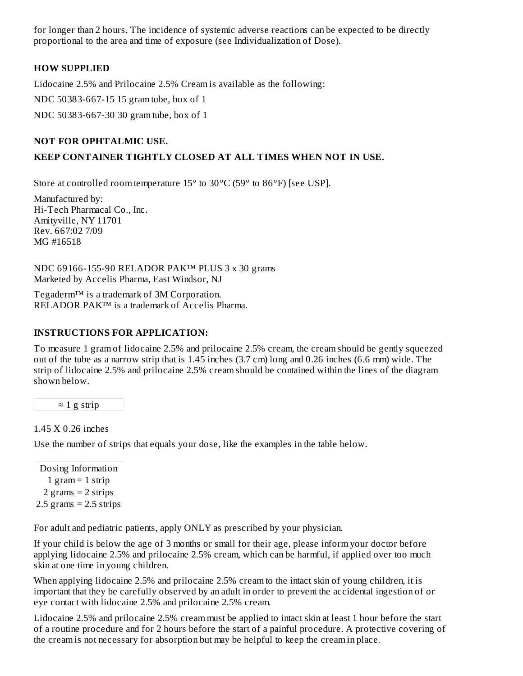for longer than 2 hours. The incidence of systemic adverse reactions can be expected to be directly proportional to the area and time of exposure (see Individualization of Dose).

### **HOW SUPPLIED**

Lidocaine 2.5% and Prilocaine 2.5% Cream is available as the following:

NDC 50383-667-15 15 gram tube, box of 1

NDC 50383-667-30 30 gram tube, box of 1

### **NOT FOR OPHTALMIC USE.**

#### **KEEP CONTAINER TIGHTLY CLOSED AT ALL TIMES WHEN NOT IN USE.**

Store at controlled room temperature 15° to 30°C (59° to 86°F) [see USP].

Manufactured by: Hi-Tech Pharmacal Co., Inc. Amityville, NY 11701 Rev. 667:02 7/09 MG #16518

NDC 69166-155-90 RELADOR PAK™ PLUS 3 x 30 grams Marketed by Accelis Pharma, East Windsor, NJ

Tegaderm™ is a trademark of 3M Corporation. RELADOR PAK™ is a trademark of Accelis Pharma.

#### **INSTRUCTIONS FOR APPLICATION:**

To measure 1 gram of lidocaine 2.5% and prilocaine 2.5% cream, the cream should be gently squeezed out of the tube as a narrow strip that is 1.45 inches (3.7 cm) long and 0.26 inches (6.6 mm) wide. The strip of lidocaine 2.5% and prilocaine 2.5% cream should be contained within the lines of the diagram shown below.

 $\approx$  1 g strip

1.45 X 0.26 inches

Use the number of strips that equals your dose, like the examples in the table below.

Dosing Information 1 gram  $=$  1 strip 2 grams  $= 2$  strips  $2.5$  grams =  $2.5$  strips

For adult and pediatric patients, apply ONLY as prescribed by your physician.

If your child is below the age of 3 months or small for their age, please inform your doctor before applying lidocaine 2.5% and prilocaine 2.5% cream, which can be harmful, if applied over too much skin at one time in young children.

When applying lidocaine 2.5% and prilocaine 2.5% cream to the intact skin of young children, it is important that they be carefully observed by an adult in order to prevent the accidental ingestion of or eye contact with lidocaine 2.5% and prilocaine 2.5% cream.

Lidocaine 2.5% and prilocaine 2.5% cream must be applied to intact skin at least 1 hour before the start of a routine procedure and for 2 hours before the start of a painful procedure. A protective covering of the cream is not necessary for absorption but may be helpful to keep the cream in place.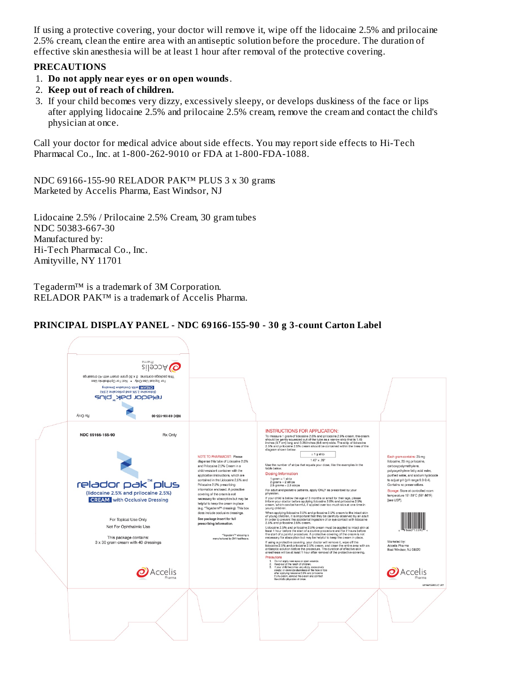If using a protective covering, your doctor will remove it, wipe off the lidocaine 2.5% and prilocaine 2.5% cream, clean the entire area with an antiseptic solution before the procedure. The duration of effective skin anesthesia will be at least 1 hour after removal of the protective covering.

#### **PRECAUTIONS**

- 1. **Do not apply near eyes or on open wounds**.
- 2. **Keep out of reach of children.**
- 3. If your child becomes very dizzy, excessively sleepy, or develops duskiness of the face or lips after applying lidocaine 2.5% and prilocaine 2.5% cream, remove the cream and contact the child's physician at once.

Call your doctor for medical advice about side effects. You may report side effects to Hi-Tech Pharmacal Co., Inc. at 1-800-262-9010 or FDA at 1-800-FDA-1088.

NDC 69166-155-90 RELADOR PAK™ PLUS 3 x 30 grams Marketed by Accelis Pharma, East Windsor, NJ

Lidocaine 2.5% / Prilocaine 2.5% Cream, 30 gram tubes NDC 50383-667-30 Manufactured by: Hi-Tech Pharmacal Co., Inc. Amityville, NY 11701

Tegaderm™ is a trademark of 3M Corporation. RELADOR PAK™ is a trademark of Accelis Pharma.

### **PRINCIPAL DISPLAY PANEL - NDC 69166-155-90 - 30 g 3-count Carton Label**

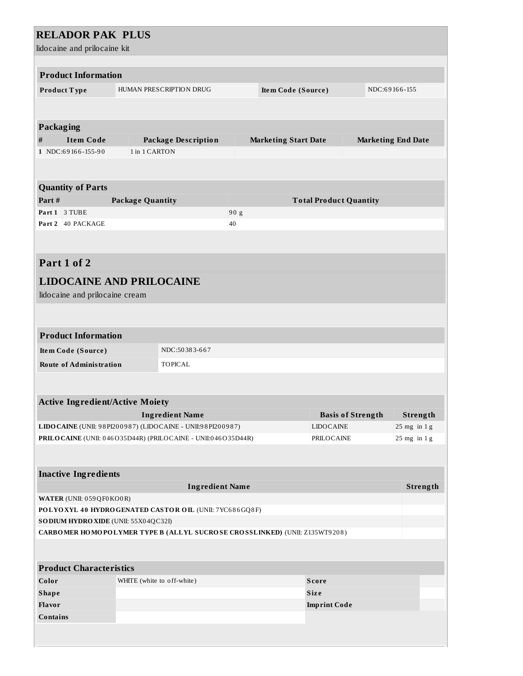# **RELADOR PAK PLUS**

| lidocaine and prilocaine kit                                                                                              |                                                                 |                             |                               |                           |  |
|---------------------------------------------------------------------------------------------------------------------------|-----------------------------------------------------------------|-----------------------------|-------------------------------|---------------------------|--|
| <b>Product Information</b>                                                                                                |                                                                 |                             |                               |                           |  |
| Product Type                                                                                                              | HUMAN PRESCRIPTION DRUG                                         | Item Code (Source)          |                               | NDC:69166-155             |  |
|                                                                                                                           |                                                                 |                             |                               |                           |  |
|                                                                                                                           |                                                                 |                             |                               |                           |  |
| <b>Packaging</b>                                                                                                          |                                                                 |                             |                               |                           |  |
| <b>Item Code</b><br>#                                                                                                     | <b>Package Description</b>                                      | <b>Marketing Start Date</b> |                               | <b>Marketing End Date</b> |  |
| 1 NDC:69166-155-90                                                                                                        | 1 in 1 CARTON                                                   |                             |                               |                           |  |
|                                                                                                                           |                                                                 |                             |                               |                           |  |
|                                                                                                                           |                                                                 |                             |                               |                           |  |
| <b>Quantity of Parts</b>                                                                                                  |                                                                 |                             |                               |                           |  |
| Part#<br>Part 1 3 TUBE                                                                                                    | <b>Package Quantity</b>                                         |                             | <b>Total Product Quantity</b> |                           |  |
| Part 2 40 PACKAGE                                                                                                         |                                                                 | 90 g<br>40                  |                               |                           |  |
|                                                                                                                           |                                                                 |                             |                               |                           |  |
|                                                                                                                           |                                                                 |                             |                               |                           |  |
| Part 1 of 2                                                                                                               |                                                                 |                             |                               |                           |  |
|                                                                                                                           |                                                                 |                             |                               |                           |  |
|                                                                                                                           | <b>LIDOCAINE AND PRILOCAINE</b>                                 |                             |                               |                           |  |
| lidocaine and prilocaine cream                                                                                            |                                                                 |                             |                               |                           |  |
|                                                                                                                           |                                                                 |                             |                               |                           |  |
|                                                                                                                           |                                                                 |                             |                               |                           |  |
| <b>Product Information</b>                                                                                                |                                                                 |                             |                               |                           |  |
| Item Code (Source)                                                                                                        | NDC:50383-667                                                   |                             |                               |                           |  |
| <b>Route of Administration</b>                                                                                            | <b>TOPICAL</b>                                                  |                             |                               |                           |  |
|                                                                                                                           |                                                                 |                             |                               |                           |  |
|                                                                                                                           |                                                                 |                             |                               |                           |  |
| <b>Active Ingredient/Active Moiety</b>                                                                                    |                                                                 |                             |                               |                           |  |
|                                                                                                                           | <b>Ingredient Name</b>                                          |                             | <b>Basis of Strength</b>      | <b>Strength</b>           |  |
|                                                                                                                           | LIDO CAINE (UNII: 98 PI200987) (LIDO CAINE - UNII: 98 PI200987) |                             | <b>LIDOCAINE</b>              | 25 mg in 1 g              |  |
|                                                                                                                           | PRILOCAINE (UNII: 046O35D44R) (PRILOCAINE - UNII:046O35D44R)    |                             | PRILOCAINE                    | $25$ mg in $1$ g          |  |
|                                                                                                                           |                                                                 |                             |                               |                           |  |
|                                                                                                                           |                                                                 |                             |                               |                           |  |
| <b>Inactive Ingredients</b>                                                                                               |                                                                 |                             |                               |                           |  |
| <b>Ingredient Name</b>                                                                                                    |                                                                 |                             |                               | Strength                  |  |
| WATER (UNII: 059QF0KO0R)                                                                                                  |                                                                 |                             |                               |                           |  |
| POLYOXYL 40 HYDROGENATED CASTOR OIL (UNII: 7YC686GQ8F)                                                                    |                                                                 |                             |                               |                           |  |
| SODIUM HYDRO XIDE (UNII: 55X04QC32I)<br><b>CARBOMER HOMOPOLYMER TYPE B (ALLYL SUCROSE CROSSLINKED) (UNII: Z135WT9208)</b> |                                                                 |                             |                               |                           |  |
|                                                                                                                           |                                                                 |                             |                               |                           |  |
|                                                                                                                           |                                                                 |                             |                               |                           |  |
| <b>Product Characteristics</b>                                                                                            |                                                                 |                             |                               |                           |  |
| Color                                                                                                                     | WHITE (white to off-white)                                      |                             | <b>Score</b>                  |                           |  |
| <b>Shape</b>                                                                                                              |                                                                 |                             | <b>Size</b>                   |                           |  |
| Flavor                                                                                                                    |                                                                 |                             | <b>Imprint Code</b>           |                           |  |
| Contains                                                                                                                  |                                                                 |                             |                               |                           |  |
|                                                                                                                           |                                                                 |                             |                               |                           |  |
|                                                                                                                           |                                                                 |                             |                               |                           |  |